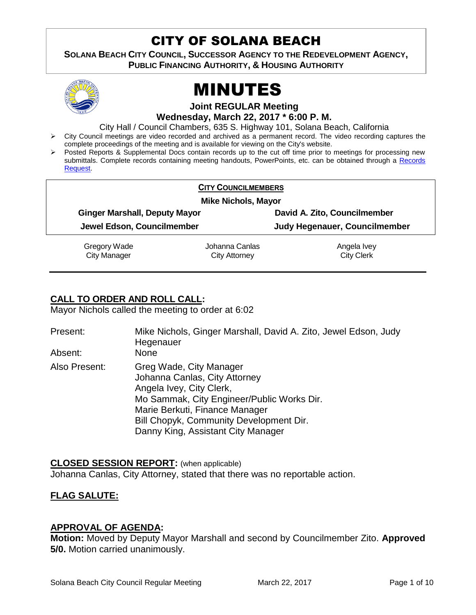## CITY OF SOLANA BEACH

**SOLANA BEACH CITY COUNCIL, SUCCESSOR AGENCY TO THE REDEVELOPMENT AGENCY, PUBLIC FINANCING AUTHORITY, & HOUSING AUTHORITY** 



# MINUTES

**Joint REGULAR Meeting**

**Wednesday, March 22, 2017 \* 6:00 P. M.**

- City Hall / Council Chambers, 635 S. Highway 101, Solana Beach, California  $\triangleright$  City Council meetings are video recorded and archived as a permanent record. The video recording captures the complete proceedings of the meeting and is available for viewing on the City's website.
- Posted Reports & Supplemental Docs contain records up to the cut off time prior to meetings for processing new submittals. Complete records containing meeting handouts, PowerPoints, etc. can be obtained through a [Records](http://www.ci.solana-beach.ca.us/index.asp?SEC=F5D45D10-70CE-4291-A27C-7BD633FC6742&Type=B_BASIC)  [Request.](http://www.ci.solana-beach.ca.us/index.asp?SEC=F5D45D10-70CE-4291-A27C-7BD633FC6742&Type=B_BASIC)

|                                                                    | <b>CITY COUNCILMEMBERS</b> |                                                               |  |
|--------------------------------------------------------------------|----------------------------|---------------------------------------------------------------|--|
|                                                                    |                            |                                                               |  |
|                                                                    | <b>Mike Nichols, Mayor</b> |                                                               |  |
| <b>Ginger Marshall, Deputy Mayor</b><br>Jewel Edson, Councilmember |                            | David A. Zito, Councilmember<br>Judy Hegenauer, Councilmember |  |
|                                                                    |                            |                                                               |  |
| <b>City Manager</b>                                                | <b>City Attorney</b>       | <b>City Clerk</b>                                             |  |

## **CALL TO ORDER AND ROLL CALL:**

Mayor Nichols called the meeting to order at 6:02

Present: Mike Nichols, Ginger Marshall, David A. Zito, Jewel Edson, Judy **Hegenauer** Absent: None Also Present: Greg Wade, City Manager Johanna Canlas, City Attorney Angela Ivey, City Clerk, Mo Sammak, City Engineer/Public Works Dir. Marie Berkuti, Finance Manager Bill Chopyk, Community Development Dir. Danny King, Assistant City Manager

**CLOSED SESSION REPORT:** (when applicable) Johanna Canlas, City Attorney, stated that there was no reportable action.

## **FLAG SALUTE:**

#### **APPROVAL OF AGENDA:**

**Motion:** Moved by Deputy Mayor Marshall and second by Councilmember Zito. **Approved 5/0.** Motion carried unanimously.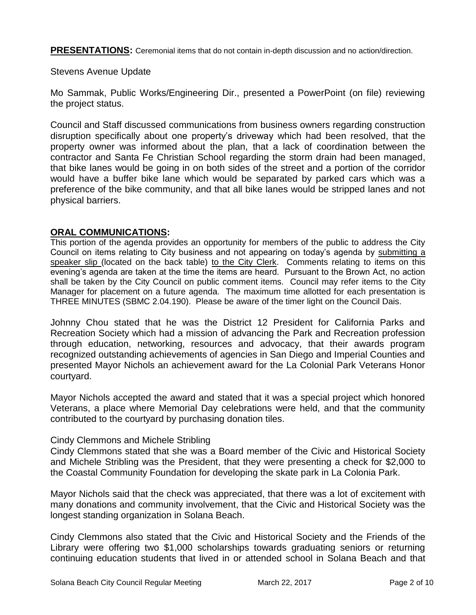**PRESENTATIONS:** Ceremonial items that do not contain in-depth discussion and no action/direction.

Stevens Avenue Update

Mo Sammak, Public Works/Engineering Dir., presented a PowerPoint (on file) reviewing the project status.

Council and Staff discussed communications from business owners regarding construction disruption specifically about one property's driveway which had been resolved, that the property owner was informed about the plan, that a lack of coordination between the contractor and Santa Fe Christian School regarding the storm drain had been managed, that bike lanes would be going in on both sides of the street and a portion of the corridor would have a buffer bike lane which would be separated by parked cars which was a preference of the bike community, and that all bike lanes would be stripped lanes and not physical barriers.

#### **ORAL COMMUNICATIONS:**

This portion of the agenda provides an opportunity for members of the public to address the City Council on items relating to City business and not appearing on today's agenda by submitting a speaker slip (located on the back table) to the City Clerk. Comments relating to items on this evening's agenda are taken at the time the items are heard. Pursuant to the Brown Act, no action shall be taken by the City Council on public comment items. Council may refer items to the City Manager for placement on a future agenda. The maximum time allotted for each presentation is THREE MINUTES (SBMC 2.04.190). Please be aware of the timer light on the Council Dais.

Johnny Chou stated that he was the District 12 President for California Parks and Recreation Society which had a mission of advancing the Park and Recreation profession through education, networking, resources and advocacy, that their awards program recognized outstanding achievements of agencies in San Diego and Imperial Counties and presented Mayor Nichols an achievement award for the La Colonial Park Veterans Honor courtyard.

Mayor Nichols accepted the award and stated that it was a special project which honored Veterans, a place where Memorial Day celebrations were held, and that the community contributed to the courtyard by purchasing donation tiles.

#### Cindy Clemmons and Michele Stribling

Cindy Clemmons stated that she was a Board member of the Civic and Historical Society and Michele Stribling was the President, that they were presenting a check for \$2,000 to the Coastal Community Foundation for developing the skate park in La Colonia Park.

Mayor Nichols said that the check was appreciated, that there was a lot of excitement with many donations and community involvement, that the Civic and Historical Society was the longest standing organization in Solana Beach.

Cindy Clemmons also stated that the Civic and Historical Society and the Friends of the Library were offering two \$1,000 scholarships towards graduating seniors or returning continuing education students that lived in or attended school in Solana Beach and that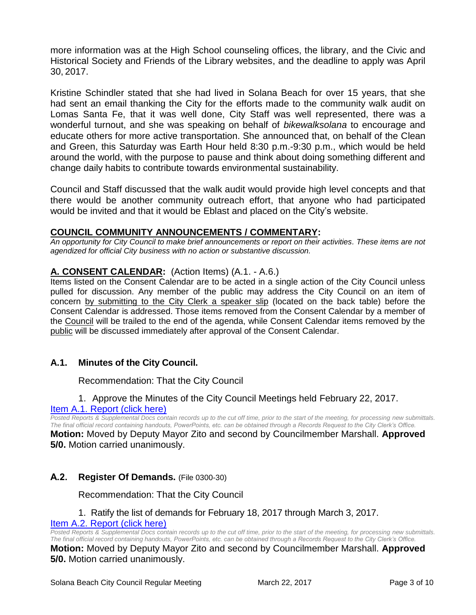more information was at the High School counseling offices, the library, and the Civic and Historical Society and Friends of the Library websites, and the deadline to apply was April 30, 2017.

Kristine Schindler stated that she had lived in Solana Beach for over 15 years, that she had sent an email thanking the City for the efforts made to the community walk audit on Lomas Santa Fe, that it was well done, City Staff was well represented, there was a wonderful turnout, and she was speaking on behalf of *bikewalksolana* to encourage and educate others for more active transportation. She announced that, on behalf of the Clean and Green, this Saturday was Earth Hour held 8:30 p.m.-9:30 p.m., which would be held around the world, with the purpose to pause and think about doing something different and change daily habits to contribute towards environmental sustainability.

Council and Staff discussed that the walk audit would provide high level concepts and that there would be another community outreach effort, that anyone who had participated would be invited and that it would be Eblast and placed on the City's website.

## **COUNCIL COMMUNITY ANNOUNCEMENTS / COMMENTARY:**

*An opportunity for City Council to make brief announcements or report on their activities. These items are not agendized for official City business with no action or substantive discussion.* 

## **A. CONSENT CALENDAR:** (Action Items) (A.1. - A.6.)

Items listed on the Consent Calendar are to be acted in a single action of the City Council unless pulled for discussion. Any member of the public may address the City Council on an item of concern by submitting to the City Clerk a speaker slip (located on the back table) before the Consent Calendar is addressed. Those items removed from the Consent Calendar by a member of the Council will be trailed to the end of the agenda, while Consent Calendar items removed by the public will be discussed immediately after approval of the Consent Calendar.

## **A.1. Minutes of the City Council.**

#### Recommendation: That the City Council

#### 1. Approve the Minutes of the City Council Meetings held February 22, 2017.

#### [Item A.1. Report \(click here\)](https://solanabeach.govoffice3.com/vertical/Sites/%7B840804C2-F869-4904-9AE3-720581350CE7%7D/uploads/Item_A.1._Report_(Click_here)_3-22-17_(3).pdf)

*Posted Reports & Supplemental Docs contain records up to the cut off time, prior to the start of the meeting, for processing new submittals. The final official record containing handouts, PowerPoints, etc. can be obtained through a Records Request to the City Clerk's Office.*

#### **Motion:** Moved by Deputy Mayor Zito and second by Councilmember Marshall. **Approved 5/0.** Motion carried unanimously.

#### **A.2. Register Of Demands.** (File 0300-30)

#### Recommendation: That the City Council

#### 1. Ratify the list of demands for February 18, 2017 through March 3, 2017.

#### [Item A.2. Report \(click here\)](https://solanabeach.govoffice3.com/vertical/Sites/%7B840804C2-F869-4904-9AE3-720581350CE7%7D/uploads/Item_A.2._Report_(Click_here)_3-22-17.PDF)

*Posted Reports & Supplemental Docs contain records up to the cut off time, prior to the start of the meeting, for processing new submittals. The final official record containing handouts, PowerPoints, etc. can be obtained through a Records Request to the City Clerk's Office.*

#### **Motion:** Moved by Deputy Mayor Zito and second by Councilmember Marshall. **Approved 5/0.** Motion carried unanimously.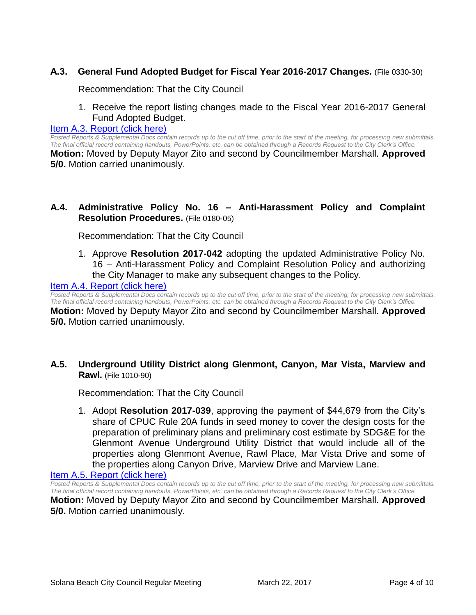## **A.3. General Fund Adopted Budget for Fiscal Year 2016-2017 Changes.** (File 0330-30)

Recommendation: That the City Council

1. Receive the report listing changes made to the Fiscal Year 2016-2017 General Fund Adopted Budget.

#### [Item A.3. Report \(click here\)](https://solanabeach.govoffice3.com/vertical/Sites/%7B840804C2-F869-4904-9AE3-720581350CE7%7D/uploads/Item_A.3._Report_(Click_here)_3-22-17.PDF)

*Posted Reports & Supplemental Docs contain records up to the cut off time, prior to the start of the meeting, for processing new submittals. The final official record containing handouts, PowerPoints, etc. can be obtained through a Records Request to the City Clerk's Office.*

**Motion:** Moved by Deputy Mayor Zito and second by Councilmember Marshall. **Approved 5/0.** Motion carried unanimously.

#### **A.4. Administrative Policy No. 16 – Anti-Harassment Policy and Complaint Resolution Procedures.** (File 0180-05)

Recommendation: That the City Council

1. Approve **Resolution 2017-042** adopting the updated Administrative Policy No. 16 – Anti-Harassment Policy and Complaint Resolution Policy and authorizing the City Manager to make any subsequent changes to the Policy.

#### [Item A.4. Report \(click here\)](https://solanabeach.govoffice3.com/vertical/Sites/%7B840804C2-F869-4904-9AE3-720581350CE7%7D/uploads/Item_A.4._Report_(Click_here)_3-22-17.PDF)

*Posted Reports & Supplemental Docs contain records up to the cut off time, prior to the start of the meeting, for processing new submittals. The final official record containing handouts, PowerPoints, etc. can be obtained through a Records Request to the City Clerk's Office.* **Motion:** Moved by Deputy Mayor Zito and second by Councilmember Marshall. **Approved 5/0.** Motion carried unanimously.

## **A.5. Underground Utility District along Glenmont, Canyon, Mar Vista, Marview and Rawl.** (File 1010-90)

Recommendation: That the City Council

1. Adopt **Resolution 2017-039**, approving the payment of \$44,679 from the City's share of CPUC Rule 20A funds in seed money to cover the design costs for the preparation of preliminary plans and preliminary cost estimate by SDG&E for the Glenmont Avenue Underground Utility District that would include all of the properties along Glenmont Avenue, Rawl Place, Mar Vista Drive and some of the properties along Canyon Drive, Marview Drive and Marview Lane.

#### Item A.5. [Report \(click here\)](https://solanabeach.govoffice3.com/vertical/Sites/%7B840804C2-F869-4904-9AE3-720581350CE7%7D/uploads/Item_A.5._Report_(Click_here)_3-22-17.PDF)

*Posted Reports & Supplemental Docs contain records up to the cut off time, prior to the start of the meeting, for processing new submittals. The final official record containing handouts, PowerPoints, etc. can be obtained through a Records Request to the City Clerk's Office.*

**Motion:** Moved by Deputy Mayor Zito and second by Councilmember Marshall. **Approved 5/0.** Motion carried unanimously.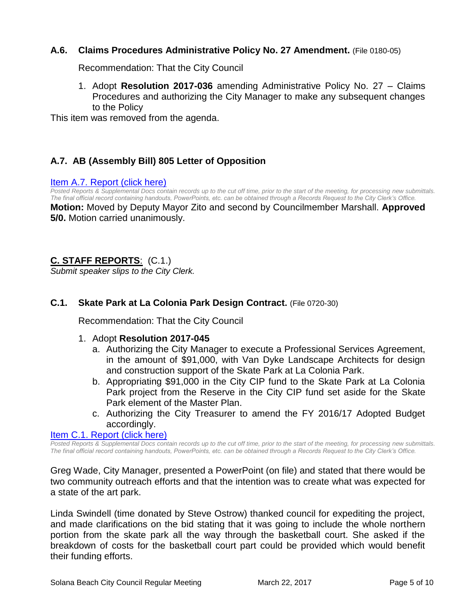#### **A.6. Claims Procedures Administrative Policy No. 27 Amendment.** (File 0180-05)

Recommendation: That the City Council

1. Adopt **Resolution 2017-036** amending Administrative Policy No. 27 – Claims Procedures and authorizing the City Manager to make any subsequent changes to the Policy

This item was removed from the agenda.

## **A.7. AB (Assembly Bill) 805 Letter of Opposition**

#### [Item A.7. Report \(click here\)](https://solanabeach.govoffice3.com/vertical/Sites/%7B840804C2-F869-4904-9AE3-720581350CE7%7D/uploads/Item_A.7._Report_(Click_here)_3-22-17.pdf)

*Posted Reports & Supplemental Docs contain records up to the cut off time, prior to the start of the meeting, for processing new submittals. The final official record containing handouts, PowerPoints, etc. can be obtained through a Records Request to the City Clerk's Office.* **Motion:** Moved by Deputy Mayor Zito and second by Councilmember Marshall. **Approved 5/0.** Motion carried unanimously.

## **C. STAFF REPORTS**: (C.1.)

*Submit speaker slips to the City Clerk.*

#### **C.1. Skate Park at La Colonia Park Design Contract.** (File 0720-30)

Recommendation: That the City Council

#### 1. Adopt **Resolution 2017-045**

- a. Authorizing the City Manager to execute a Professional Services Agreement, in the amount of \$91,000, with Van Dyke Landscape Architects for design and construction support of the Skate Park at La Colonia Park.
- b. Appropriating \$91,000 in the City CIP fund to the Skate Park at La Colonia Park project from the Reserve in the City CIP fund set aside for the Skate Park element of the Master Plan.
- c. Authorizing the City Treasurer to amend the FY 2016/17 Adopted Budget accordingly.

#### [Item C.1. Report \(click here\)](https://solanabeach.govoffice3.com/vertical/Sites/%7B840804C2-F869-4904-9AE3-720581350CE7%7D/uploads/Item_C.1._Report_(Click_here)_3-22-17.PDF)

*Posted Reports & Supplemental Docs contain records up to the cut off time, prior to the start of the meeting, for processing new submittals. The final official record containing handouts, PowerPoints, etc. can be obtained through a Records Request to the City Clerk's Office.*

Greg Wade, City Manager, presented a PowerPoint (on file) and stated that there would be two community outreach efforts and that the intention was to create what was expected for a state of the art park.

Linda Swindell (time donated by Steve Ostrow) thanked council for expediting the project, and made clarifications on the bid stating that it was going to include the whole northern portion from the skate park all the way through the basketball court. She asked if the breakdown of costs for the basketball court part could be provided which would benefit their funding efforts.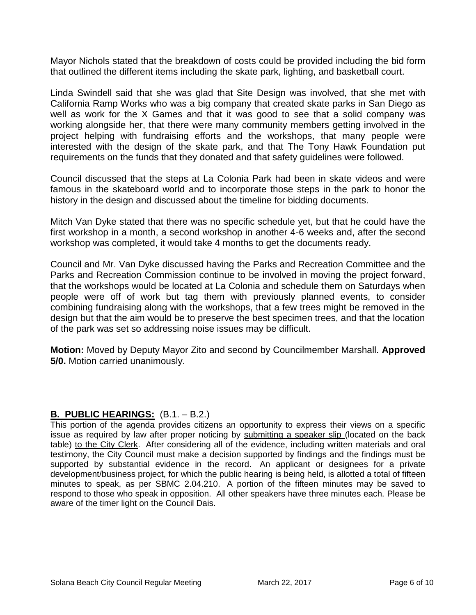Mayor Nichols stated that the breakdown of costs could be provided including the bid form that outlined the different items including the skate park, lighting, and basketball court.

Linda Swindell said that she was glad that Site Design was involved, that she met with California Ramp Works who was a big company that created skate parks in San Diego as well as work for the X Games and that it was good to see that a solid company was working alongside her, that there were many community members getting involved in the project helping with fundraising efforts and the workshops, that many people were interested with the design of the skate park, and that The Tony Hawk Foundation put requirements on the funds that they donated and that safety guidelines were followed.

Council discussed that the steps at La Colonia Park had been in skate videos and were famous in the skateboard world and to incorporate those steps in the park to honor the history in the design and discussed about the timeline for bidding documents.

Mitch Van Dyke stated that there was no specific schedule yet, but that he could have the first workshop in a month, a second workshop in another 4-6 weeks and, after the second workshop was completed, it would take 4 months to get the documents ready.

Council and Mr. Van Dyke discussed having the Parks and Recreation Committee and the Parks and Recreation Commission continue to be involved in moving the project forward, that the workshops would be located at La Colonia and schedule them on Saturdays when people were off of work but tag them with previously planned events, to consider combining fundraising along with the workshops, that a few trees might be removed in the design but that the aim would be to preserve the best specimen trees, and that the location of the park was set so addressing noise issues may be difficult.

**Motion:** Moved by Deputy Mayor Zito and second by Councilmember Marshall. **Approved 5/0.** Motion carried unanimously.

## **B. PUBLIC HEARINGS:** (B.1. – B.2.)

This portion of the agenda provides citizens an opportunity to express their views on a specific issue as required by law after proper noticing by submitting a speaker slip (located on the back table) to the City Clerk. After considering all of the evidence, including written materials and oral testimony, the City Council must make a decision supported by findings and the findings must be supported by substantial evidence in the record. An applicant or designees for a private development/business project, for which the public hearing is being held, is allotted a total of fifteen minutes to speak, as per SBMC 2.04.210. A portion of the fifteen minutes may be saved to respond to those who speak in opposition. All other speakers have three minutes each. Please be aware of the timer light on the Council Dais.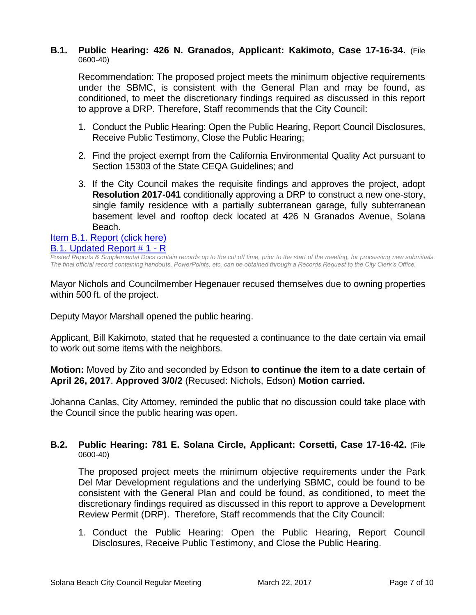#### **B.1. Public Hearing: 426 N. Granados, Applicant: Kakimoto, Case 17-16-34.** (File 0600-40)

Recommendation: The proposed project meets the minimum objective requirements under the SBMC, is consistent with the General Plan and may be found, as conditioned, to meet the discretionary findings required as discussed in this report to approve a DRP. Therefore, Staff recommends that the City Council:

- 1. Conduct the Public Hearing: Open the Public Hearing, Report Council Disclosures, Receive Public Testimony, Close the Public Hearing;
- 2. Find the project exempt from the California Environmental Quality Act pursuant to Section 15303 of the State CEQA Guidelines; and
- 3. If the City Council makes the requisite findings and approves the project, adopt **Resolution 2017-041** conditionally approving a DRP to construct a new one-story, single family residence with a partially subterranean garage, fully subterranean basement level and rooftop deck located at 426 N Granados Avenue, Solana Beach.

## [Item B.1. Report \(click here\)](https://solanabeach.govoffice3.com/vertical/Sites/%7B840804C2-F869-4904-9AE3-720581350CE7%7D/uploads/Item_B.1._Report_(Click_here)_3-22-17.PDF)

[B.1. Updated Report # 1 -](https://solanabeach.govoffice3.com/vertical/Sites/%7B840804C2-F869-4904-9AE3-720581350CE7%7D/uploads/B.1._Updated_Report__1_-_3-22-17_-__R.pdf) R

*Posted Reports & Supplemental Docs contain records up to the cut off time, prior to the start of the meeting, for processing new submittals. The final official record containing handouts, PowerPoints, etc. can be obtained through a Records Request to the City Clerk's Office.*

Mayor Nichols and Councilmember Hegenauer recused themselves due to owning properties within 500 ft. of the project.

Deputy Mayor Marshall opened the public hearing.

Applicant, Bill Kakimoto, stated that he requested a continuance to the date certain via email to work out some items with the neighbors.

**Motion:** Moved by Zito and seconded by Edson **to continue the item to a date certain of April 26, 2017**. **Approved 3/0/2** (Recused: Nichols, Edson) **Motion carried.**

Johanna Canlas, City Attorney, reminded the public that no discussion could take place with the Council since the public hearing was open.

#### **B.2. Public Hearing: 781 E. Solana Circle, Applicant: Corsetti, Case 17-16-42.** (File 0600-40)

The proposed project meets the minimum objective requirements under the Park Del Mar Development regulations and the underlying SBMC, could be found to be consistent with the General Plan and could be found, as conditioned, to meet the discretionary findings required as discussed in this report to approve a Development Review Permit (DRP). Therefore, Staff recommends that the City Council:

1. Conduct the Public Hearing: Open the Public Hearing, Report Council Disclosures, Receive Public Testimony, and Close the Public Hearing.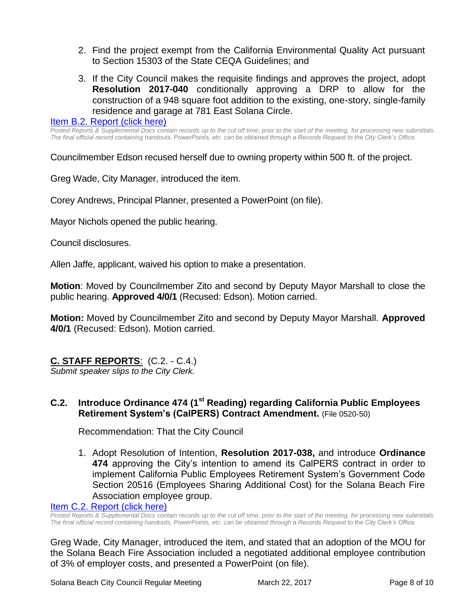- 2. Find the project exempt from the California Environmental Quality Act pursuant to Section 15303 of the State CEQA Guidelines; and
- 3. If the City Council makes the requisite findings and approves the project, adopt **Resolution 2017-040** conditionally approving a DRP to allow for the construction of a 948 square foot addition to the existing, one-story, single-family residence and garage at 781 East Solana Circle.

#### [Item B.2. Report \(click here\)](https://solanabeach.govoffice3.com/vertical/Sites/%7B840804C2-F869-4904-9AE3-720581350CE7%7D/uploads/Item_B.2._Report_(Click_here)_3-22-17.pdf)

*Posted Reports & Supplemental Docs contain records up to the cut off time, prior to the start of the meeting, for processing new submittals. The final official record containing handouts, PowerPoints, etc. can be obtained through a Records Request to the City Clerk's Office.*

Councilmember Edson recused herself due to owning property within 500 ft. of the project.

Greg Wade, City Manager, introduced the item.

Corey Andrews, Principal Planner, presented a PowerPoint (on file).

Mayor Nichols opened the public hearing.

Council disclosures.

Allen Jaffe, applicant, waived his option to make a presentation.

**Motion**: Moved by Councilmember Zito and second by Deputy Mayor Marshall to close the public hearing. **Approved 4/0/1** (Recused: Edson). Motion carried.

**Motion:** Moved by Councilmember Zito and second by Deputy Mayor Marshall. **Approved 4/0/1** (Recused: Edson). Motion carried.

#### **C. STAFF REPORTS**: (C.2. - C.4.)

*Submit speaker slips to the City Clerk.*

#### **C.2. Introduce Ordinance 474 (1st Reading) regarding California Public Employees Retirement System's (CalPERS) Contract Amendment.** (File 0520-50)

Recommendation: That the City Council

1. Adopt Resolution of Intention, **Resolution 2017-038,** and introduce **Ordinance 474** approving the City's intention to amend its CalPERS contract in order to implement California Public Employees Retirement System's Government Code Section 20516 (Employees Sharing Additional Cost) for the Solana Beach Fire Association employee group.

#### [Item C.2. Report \(click here\)](https://solanabeach.govoffice3.com/vertical/Sites/%7B840804C2-F869-4904-9AE3-720581350CE7%7D/uploads/Item_C.2._Report_(Click_here)_3-22-17.PDF)

*Posted Reports & Supplemental Docs contain records up to the cut off time, prior to the start of the meeting, for processing new submittals.*  The final official record containing handouts, PowerPoints, etc. can be obtained through a Records Request to the City Clerk's Office.

Greg Wade, City Manager, introduced the item, and stated that an adoption of the MOU for the Solana Beach Fire Association included a negotiated additional employee contribution of 3% of employer costs, and presented a PowerPoint (on file).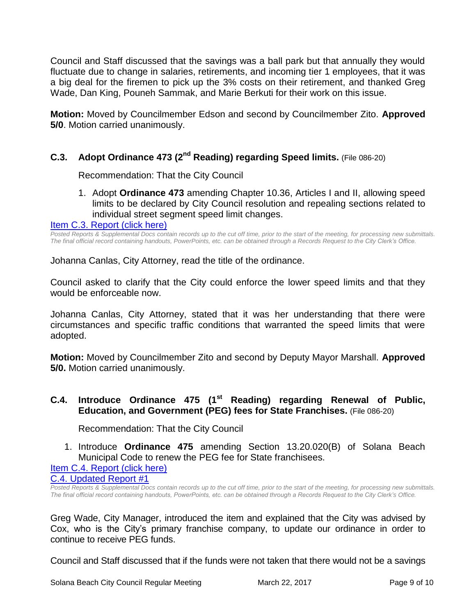Council and Staff discussed that the savings was a ball park but that annually they would fluctuate due to change in salaries, retirements, and incoming tier 1 employees, that it was a big deal for the firemen to pick up the 3% costs on their retirement, and thanked Greg Wade, Dan King, Pouneh Sammak, and Marie Berkuti for their work on this issue.

**Motion:** Moved by Councilmember Edson and second by Councilmember Zito. **Approved 5/0**. Motion carried unanimously.

## **C.3. Adopt Ordinance 473 (2nd Reading) regarding Speed limits.** (File 086-20)

Recommendation: That the City Council

1. Adopt **Ordinance 473** amending Chapter 10.36, Articles I and II, allowing speed limits to be declared by City Council resolution and repealing sections related to individual street segment speed limit changes.

#### [Item C.3. Report \(click here\)](https://solanabeach.govoffice3.com/vertical/Sites/%7B840804C2-F869-4904-9AE3-720581350CE7%7D/uploads/Item_C.3._Report_(Click_here)_3-22-17.PDF)

*Posted Reports & Supplemental Docs contain records up to the cut off time, prior to the start of the meeting, for processing new submittals. The final official record containing handouts, PowerPoints, etc. can be obtained through a Records Request to the City Clerk's Office.*

Johanna Canlas, City Attorney, read the title of the ordinance.

Council asked to clarify that the City could enforce the lower speed limits and that they would be enforceable now.

Johanna Canlas, City Attorney, stated that it was her understanding that there were circumstances and specific traffic conditions that warranted the speed limits that were adopted.

**Motion:** Moved by Councilmember Zito and second by Deputy Mayor Marshall. **Approved 5/0.** Motion carried unanimously.

#### **C.4. Introduce Ordinance 475 (1st Reading) regarding Renewal of Public, Education, and Government (PEG) fees for State Franchises.** (File 086-20)

Recommendation: That the City Council

1. Introduce **Ordinance 475** amending Section 13.20.020(B) of Solana Beach Municipal Code to renew the PEG fee for State franchisees.

[Item C.4. Report \(click here\)](https://solanabeach.govoffice3.com/vertical/Sites/%7B840804C2-F869-4904-9AE3-720581350CE7%7D/uploads/Item_C.4._Report_(Click_here)_3-22-17.PDF)

[C.4. Updated Report #1](https://solanabeach.govoffice3.com/vertical/Sites/%7B840804C2-F869-4904-9AE3-720581350CE7%7D/uploads/C.4._Updated_Report_1__(3-20-17_1130am).pdf)

*Posted Reports & Supplemental Docs contain records up to the cut off time, prior to the start of the meeting, for processing new submittals. The final official record containing handouts, PowerPoints, etc. can be obtained through a Records Request to the City Clerk's Office.*

Greg Wade, City Manager, introduced the item and explained that the City was advised by Cox, who is the City's primary franchise company, to update our ordinance in order to continue to receive PEG funds.

Council and Staff discussed that if the funds were not taken that there would not be a savings